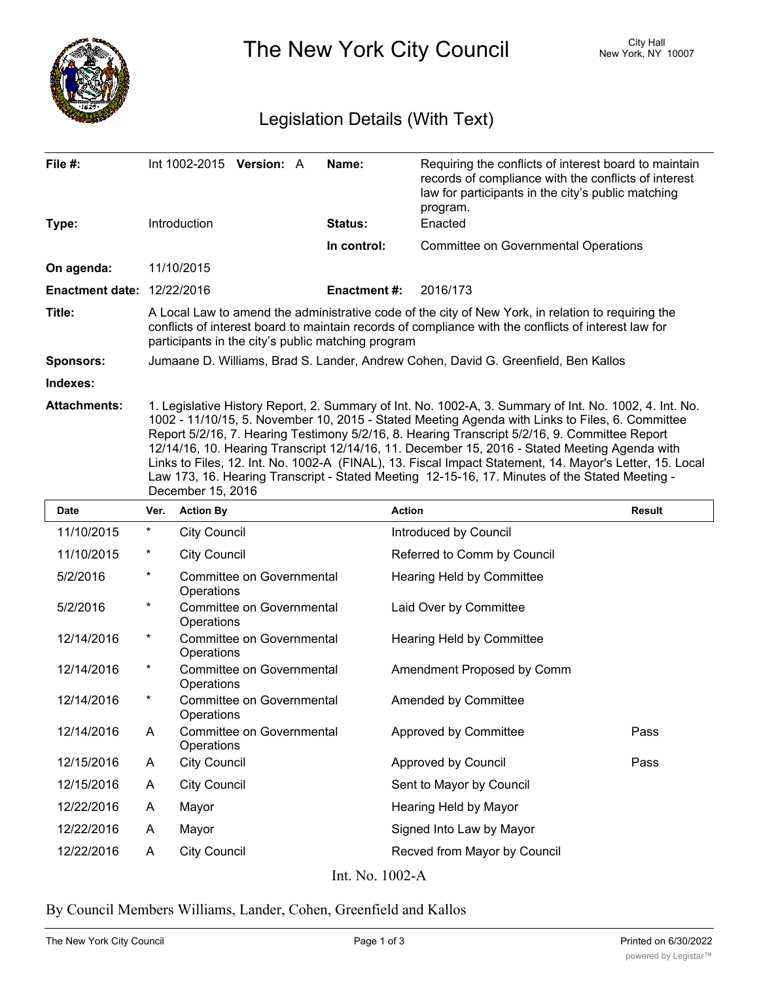

The New York City Council New York, NY 10007

## Legislation Details (With Text)

| File $#$ :<br>Type:               |                                                                                                                                                                                                                                                                                                                                                                                                                                                                                                                                                                                                                                               | Introduction                                                                 | Int 1002-2015 Version: A         |  | Name:<br>Status:    | Requiring the conflicts of interest board to maintain<br>records of compliance with the conflicts of interest<br>law for participants in the city's public matching<br>program.<br>Enacted |               |
|-----------------------------------|-----------------------------------------------------------------------------------------------------------------------------------------------------------------------------------------------------------------------------------------------------------------------------------------------------------------------------------------------------------------------------------------------------------------------------------------------------------------------------------------------------------------------------------------------------------------------------------------------------------------------------------------------|------------------------------------------------------------------------------|----------------------------------|--|---------------------|--------------------------------------------------------------------------------------------------------------------------------------------------------------------------------------------|---------------|
|                                   |                                                                                                                                                                                                                                                                                                                                                                                                                                                                                                                                                                                                                                               |                                                                              |                                  |  | In control:         | <b>Committee on Governmental Operations</b>                                                                                                                                                |               |
| On agenda:                        |                                                                                                                                                                                                                                                                                                                                                                                                                                                                                                                                                                                                                                               | 11/10/2015                                                                   |                                  |  |                     |                                                                                                                                                                                            |               |
| <b>Enactment date: 12/22/2016</b> |                                                                                                                                                                                                                                                                                                                                                                                                                                                                                                                                                                                                                                               |                                                                              |                                  |  | <b>Enactment #:</b> | 2016/173                                                                                                                                                                                   |               |
| Title:                            | A Local Law to amend the administrative code of the city of New York, in relation to requiring the<br>conflicts of interest board to maintain records of compliance with the conflicts of interest law for<br>participants in the city's public matching program                                                                                                                                                                                                                                                                                                                                                                              |                                                                              |                                  |  |                     |                                                                                                                                                                                            |               |
| <b>Sponsors:</b>                  | Jumaane D. Williams, Brad S. Lander, Andrew Cohen, David G. Greenfield, Ben Kallos                                                                                                                                                                                                                                                                                                                                                                                                                                                                                                                                                            |                                                                              |                                  |  |                     |                                                                                                                                                                                            |               |
| Indexes:                          |                                                                                                                                                                                                                                                                                                                                                                                                                                                                                                                                                                                                                                               |                                                                              |                                  |  |                     |                                                                                                                                                                                            |               |
| <b>Attachments:</b>               | 1. Legislative History Report, 2. Summary of Int. No. 1002-A, 3. Summary of Int. No. 1002, 4. Int. No.<br>1002 - 11/10/15, 5. November 10, 2015 - Stated Meeting Agenda with Links to Files, 6. Committee<br>Report 5/2/16, 7. Hearing Testimony 5/2/16, 8. Hearing Transcript 5/2/16, 9. Committee Report<br>12/14/16, 10. Hearing Transcript 12/14/16, 11. December 15, 2016 - Stated Meeting Agenda with<br>Links to Files, 12. Int. No. 1002-A (FINAL), 13. Fiscal Impact Statement, 14. Mayor's Letter, 15. Local<br>Law 173, 16. Hearing Transcript - Stated Meeting 12-15-16, 17. Minutes of the Stated Meeting -<br>December 15, 2016 |                                                                              |                                  |  |                     |                                                                                                                                                                                            |               |
| Date                              | Ver.                                                                                                                                                                                                                                                                                                                                                                                                                                                                                                                                                                                                                                          | <b>Action By</b>                                                             |                                  |  |                     | <b>Action</b>                                                                                                                                                                              | <b>Result</b> |
| 11/10/2015                        | $\ast$                                                                                                                                                                                                                                                                                                                                                                                                                                                                                                                                                                                                                                        | <b>City Council</b>                                                          |                                  |  |                     | Introduced by Council                                                                                                                                                                      |               |
| 11/10/2015                        | $\ast$                                                                                                                                                                                                                                                                                                                                                                                                                                                                                                                                                                                                                                        | <b>City Council</b>                                                          |                                  |  |                     | Referred to Comm by Council                                                                                                                                                                |               |
| 5/2/2016                          | $^\star$                                                                                                                                                                                                                                                                                                                                                                                                                                                                                                                                                                                                                                      | Operations                                                                   | Committee on Governmental        |  |                     | Hearing Held by Committee                                                                                                                                                                  |               |
| 5/2/2016                          | $^\star$                                                                                                                                                                                                                                                                                                                                                                                                                                                                                                                                                                                                                                      | Operations                                                                   | <b>Committee on Governmental</b> |  |                     | Laid Over by Committee                                                                                                                                                                     |               |
| 12/14/2016                        | $^\star$                                                                                                                                                                                                                                                                                                                                                                                                                                                                                                                                                                                                                                      | Operations                                                                   | <b>Committee on Governmental</b> |  |                     | Hearing Held by Committee                                                                                                                                                                  |               |
| 12/14/2016                        | $\ast$                                                                                                                                                                                                                                                                                                                                                                                                                                                                                                                                                                                                                                        | <b>Committee on Governmental</b><br>Amendment Proposed by Comm<br>Operations |                                  |  |                     |                                                                                                                                                                                            |               |
| 12/14/2016                        | $^\star$                                                                                                                                                                                                                                                                                                                                                                                                                                                                                                                                                                                                                                      | <b>Committee on Governmental</b><br>Operations                               |                                  |  |                     | Amended by Committee                                                                                                                                                                       |               |
| 12/14/2016                        | A                                                                                                                                                                                                                                                                                                                                                                                                                                                                                                                                                                                                                                             | Operations                                                                   | Committee on Governmental        |  |                     | Approved by Committee                                                                                                                                                                      | Pass          |
| 12/15/2016                        | A                                                                                                                                                                                                                                                                                                                                                                                                                                                                                                                                                                                                                                             | <b>City Council</b>                                                          |                                  |  |                     | Approved by Council                                                                                                                                                                        | Pass          |
| 12/15/2016                        | A                                                                                                                                                                                                                                                                                                                                                                                                                                                                                                                                                                                                                                             | <b>City Council</b>                                                          |                                  |  |                     | Sent to Mayor by Council                                                                                                                                                                   |               |
| 12/22/2016                        | A                                                                                                                                                                                                                                                                                                                                                                                                                                                                                                                                                                                                                                             | Mayor                                                                        |                                  |  |                     | Hearing Held by Mayor                                                                                                                                                                      |               |
| 12/22/2016                        | A                                                                                                                                                                                                                                                                                                                                                                                                                                                                                                                                                                                                                                             | Mayor                                                                        |                                  |  |                     | Signed Into Law by Mayor                                                                                                                                                                   |               |
| 12/22/2016                        | Α                                                                                                                                                                                                                                                                                                                                                                                                                                                                                                                                                                                                                                             | <b>City Council</b>                                                          |                                  |  |                     | Recved from Mayor by Council                                                                                                                                                               |               |

Int. No. 1002-A

By Council Members Williams, Lander, Cohen, Greenfield and Kallos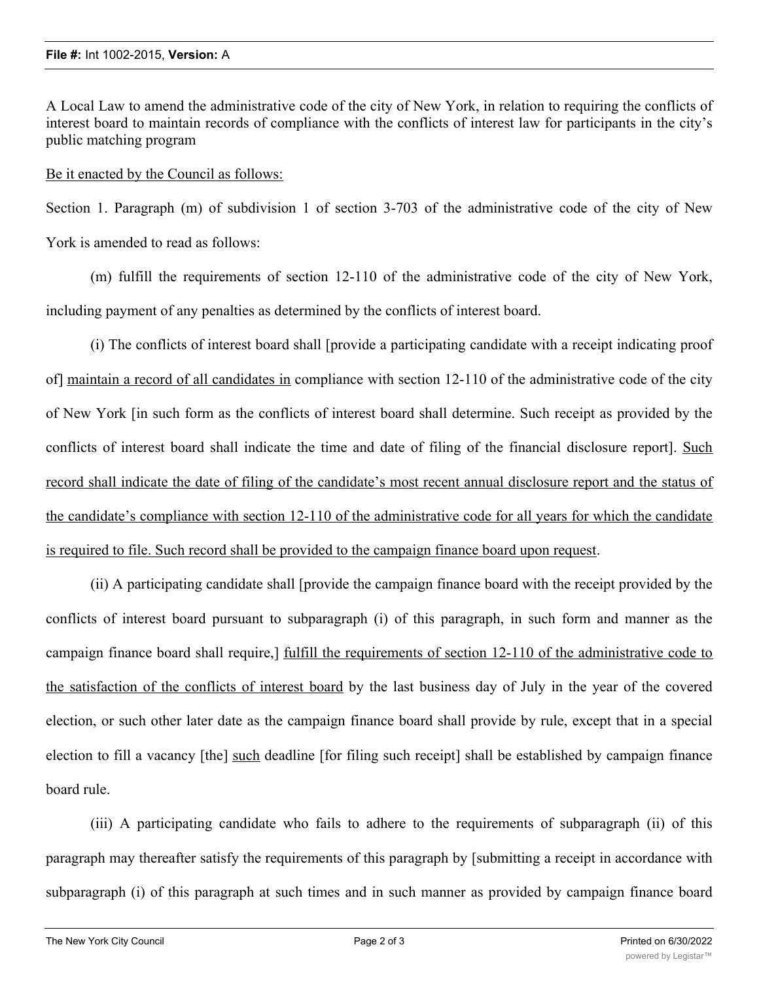A Local Law to amend the administrative code of the city of New York, in relation to requiring the conflicts of interest board to maintain records of compliance with the conflicts of interest law for participants in the city's public matching program

## Be it enacted by the Council as follows:

Section 1. Paragraph (m) of subdivision 1 of section 3-703 of the administrative code of the city of New York is amended to read as follows:

(m) fulfill the requirements of section 12-110 of the administrative code of the city of New York, including payment of any penalties as determined by the conflicts of interest board.

(i) The conflicts of interest board shall [provide a participating candidate with a receipt indicating proof of] maintain a record of all candidates in compliance with section 12-110 of the administrative code of the city of New York [in such form as the conflicts of interest board shall determine. Such receipt as provided by the conflicts of interest board shall indicate the time and date of filing of the financial disclosure report]. Such record shall indicate the date of filing of the candidate's most recent annual disclosure report and the status of the candidate's compliance with section 12-110 of the administrative code for all years for which the candidate is required to file. Such record shall be provided to the campaign finance board upon request.

(ii) A participating candidate shall [provide the campaign finance board with the receipt provided by the conflicts of interest board pursuant to subparagraph (i) of this paragraph, in such form and manner as the campaign finance board shall require,] fulfill the requirements of section 12-110 of the administrative code to the satisfaction of the conflicts of interest board by the last business day of July in the year of the covered election, or such other later date as the campaign finance board shall provide by rule, except that in a special election to fill a vacancy [the] such deadline [for filing such receipt] shall be established by campaign finance board rule.

(iii) A participating candidate who fails to adhere to the requirements of subparagraph (ii) of this paragraph may thereafter satisfy the requirements of this paragraph by [submitting a receipt in accordance with subparagraph (i) of this paragraph at such times and in such manner as provided by campaign finance board